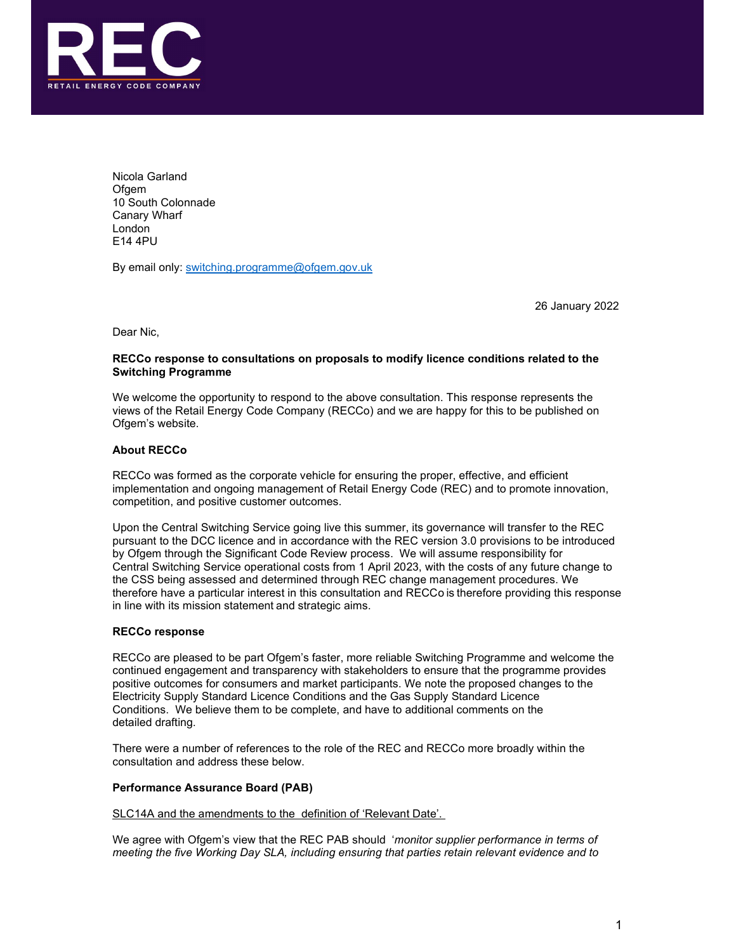

Nicola Garland **Ofgem** 10 South Colonnade Canary Wharf London E14 4PU

By email only: switching.programme@ofgem.gov.uk

26 January 2022

Dear Nic,

## RECCo response to consultations on proposals to modify licence conditions related to the Switching Programme

We welcome the opportunity to respond to the above consultation. This response represents the views of the Retail Energy Code Company (RECCo) and we are happy for this to be published on Ofgem's website.

# About RECCo

RECCo was formed as the corporate vehicle for ensuring the proper, effective, and efficient implementation and ongoing management of Retail Energy Code (REC) and to promote innovation, competition, and positive customer outcomes.

Upon the Central Switching Service going live this summer, its governance will transfer to the REC pursuant to the DCC licence and in accordance with the REC version 3.0 provisions to be introduced by Ofgem through the Significant Code Review process. We will assume responsibility for Central Switching Service operational costs from 1 April 2023, with the costs of any future change to the CSS being assessed and determined through REC change management procedures. We therefore have a particular interest in this consultation and RECCo is therefore providing this response in line with its mission statement and strategic aims.

# RECCo response

RECCo are pleased to be part Ofgem's faster, more reliable Switching Programme and welcome the continued engagement and transparency with stakeholders to ensure that the programme provides positive outcomes for consumers and market participants. We note the proposed changes to the Electricity Supply Standard Licence Conditions and the Gas Supply Standard Licence Conditions. We believe them to be complete, and have to additional comments on the detailed drafting.

There were a number of references to the role of the REC and RECCo more broadly within the consultation and address these below.

# Performance Assurance Board (PAB)

SLC14A and the amendments to the definition of 'Relevant Date'.

We agree with Ofgem's view that the REC PAB should 'monitor supplier performance in terms of meeting the five Working Day SLA, including ensuring that parties retain relevant evidence and to